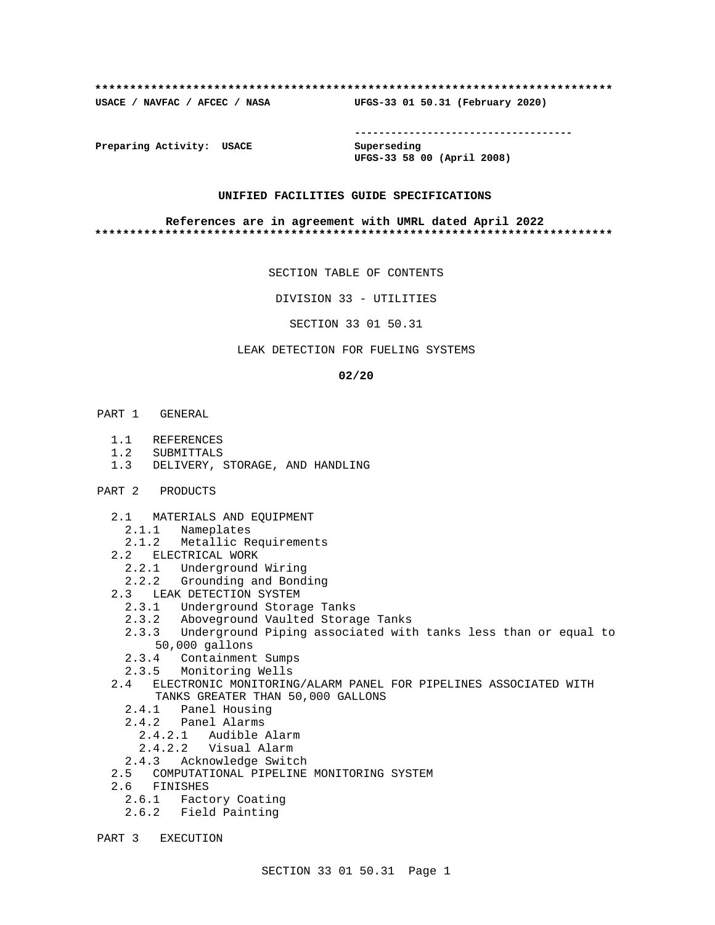#### **\*\*\*\*\*\*\*\*\*\*\*\*\*\*\*\*\*\*\*\*\*\*\*\*\*\*\*\*\*\*\*\*\*\*\*\*\*\*\*\*\*\*\*\*\*\*\*\*\*\*\*\*\*\*\*\*\*\*\*\*\*\*\*\*\*\*\*\*\*\*\*\*\*\***

**USACE / NAVFAC / AFCEC / NASA UFGS-33 01 50.31 (February 2020)**

**------------------------------------**

**Preparing Activity: USACE Superseding**

**UFGS-33 58 00 (April 2008)**

# **UNIFIED FACILITIES GUIDE SPECIFICATIONS**

### **References are in agreement with UMRL dated April 2022 \*\*\*\*\*\*\*\*\*\*\*\*\*\*\*\*\*\*\*\*\*\*\*\*\*\*\*\*\*\*\*\*\*\*\*\*\*\*\*\*\*\*\*\*\*\*\*\*\*\*\*\*\*\*\*\*\*\*\*\*\*\*\*\*\*\*\*\*\*\*\*\*\*\***

SECTION TABLE OF CONTENTS

DIVISION 33 - UTILITIES

SECTION 33 01 50.31

# LEAK DETECTION FOR FUELING SYSTEMS

#### **02/20**

- PART 1 GENERAL
	- 1.1 REFERENCES
	- 1.2 SUBMITTALS
	- 1.3 DELIVERY, STORAGE, AND HANDLING
- PART 2 PRODUCTS
	- 2.1 MATERIALS AND EQUIPMENT
		- 2.1.1 Nameplates
	- 2.1.2 Metallic Requirements
	- 2.2 ELECTRICAL WORK
		- 2.2.1 Underground Wiring
	- 2.2.2 Grounding and Bonding
	- 2.3 LEAK DETECTION SYSTEM
		- 2.3.1 Underground Storage Tanks
		- 2.3.2 Aboveground Vaulted Storage Tanks
		- 2.3.3 Underground Piping associated with tanks less than or equal to 50,000 gallons
		- 2.3.4 Containment Sumps
		- 2.3.5 Monitoring Wells
	- 2.4 ELECTRONIC MONITORING/ALARM PANEL FOR PIPELINES ASSOCIATED WITH TANKS GREATER THAN 50,000 GALLONS
		- 2.4.1 Panel Housing
		- 2.4.2 Panel Alarms
			- 2.4.2.1 Audible Alarm
			- 2.4.2.2 Visual Alarm
		- 2.4.3 Acknowledge Switch
	- 2.5 COMPUTATIONAL PIPELINE MONITORING SYSTEM
	- 2.6 FINISHES
		- 2.6.1 Factory Coating
		- 2.6.2 Field Painting
- PART 3 EXECUTION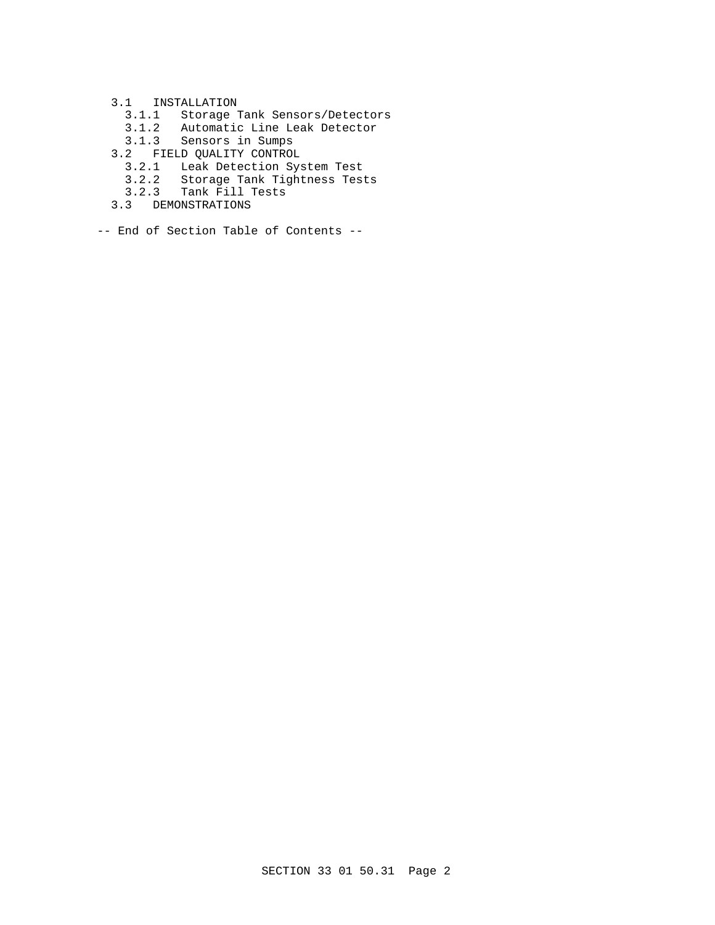- 3.1 INSTALLATION
	- 3.1.1 Storage Tank Sensors/Detectors
	- 3.1.2 Automatic Line Leak Detector
	- 3.1.3 Sensors in Sumps
- 3.2 FIELD QUALITY CONTROL
- 3.2.1 Leak Detection System Test
- 3.2.2 Storage Tank Tightness Tests
	- 3.2.3 Tank Fill Tests
	- 3.3 DEMONSTRATIONS
- -- End of Section Table of Contents --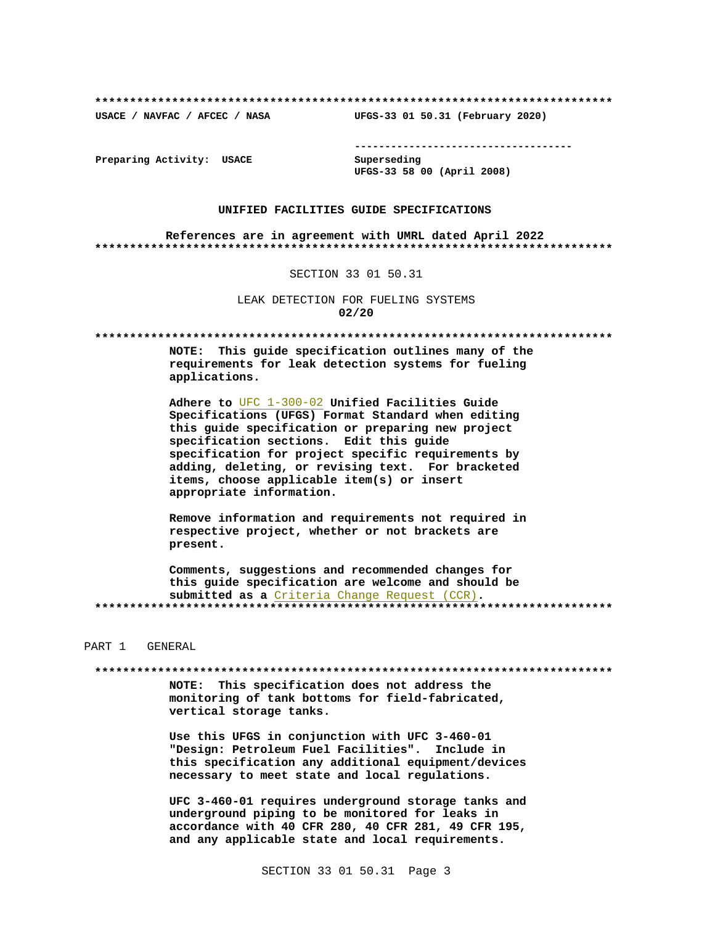USACE / NAVFAC / AFCEC / NASA

--------------------------------------

Preparing Activity: USACE

Superseding UFGS-33 58 00 (April 2008)

UFGS-33 01 50.31 (February 2020)

### UNIFIED FACILITIES GUIDE SPECIFICATIONS

References are in agreement with UMRL dated April 2022 

## SECTION 33 01 50.31

LEAK DETECTION FOR FUELING SYSTEMS  $02/20$ 

#### 

NOTE: This quide specification outlines many of the requirements for leak detection systems for fueling applications.

Adhere to UFC 1-300-02 Unified Facilities Guide Specifications (UFGS) Format Standard when editing this quide specification or preparing new project specification sections. Edit this guide specification for project specific requirements by adding, deleting, or revising text. For bracketed items, choose applicable item(s) or insert appropriate information.

Remove information and requirements not required in respective project, whether or not brackets are present.

Comments, suggestions and recommended changes for this quide specification are welcome and should be submitted as a Criteria Change Request (CCR). 

## PART 1 GENERAL

NOTE: This specification does not address the monitoring of tank bottoms for field-fabricated, vertical storage tanks.

Use this UFGS in conjunction with UFC 3-460-01 "Design: Petroleum Fuel Facilities". Include in this specification any additional equipment/devices necessary to meet state and local regulations.

UFC 3-460-01 requires underground storage tanks and underground piping to be monitored for leaks in accordance with 40 CFR 280, 40 CFR 281, 49 CFR 195, and any applicable state and local requirements.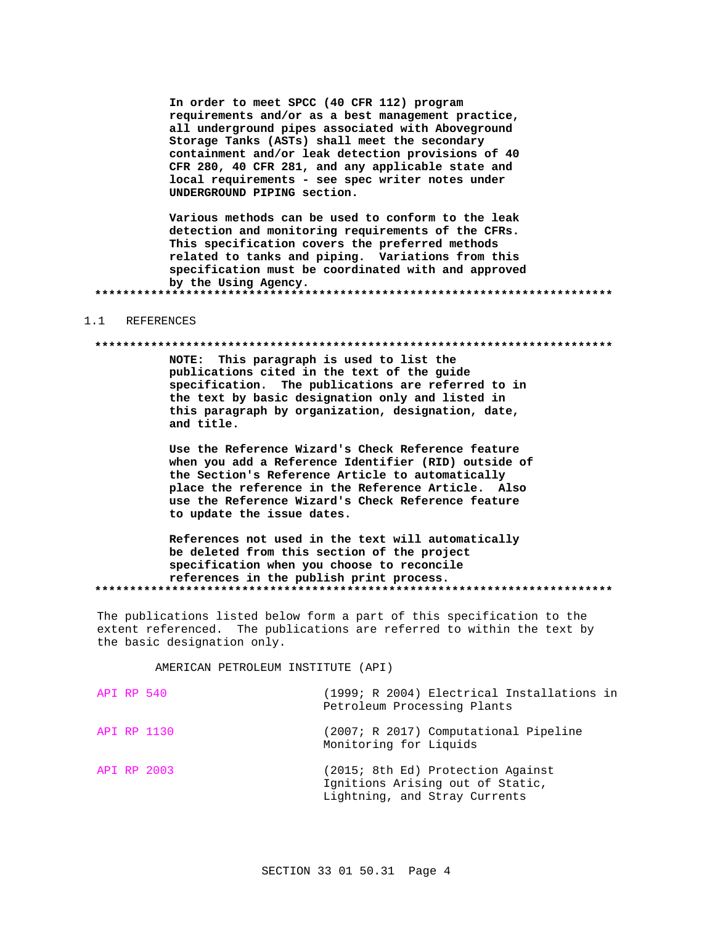In order to meet SPCC (40 CFR 112) program requirements and/or as a best management practice, all underground pipes associated with Aboveground Storage Tanks (ASTs) shall meet the secondary containment and/or leak detection provisions of 40 CFR 280, 40 CFR 281, and any applicable state and local requirements - see spec writer notes under UNDERGROUND PIPING section.

Various methods can be used to conform to the leak detection and monitoring requirements of the CFRs. This specification covers the preferred methods related to tanks and piping. Variations from this specification must be coordinated with and approved by the Using Agency. 

#### REFERENCES  $1 \quad 1$

#### 

NOTE: This paragraph is used to list the publications cited in the text of the guide specification. The publications are referred to in the text by basic designation only and listed in this paragraph by organization, designation, date, and title.

Use the Reference Wizard's Check Reference feature when you add a Reference Identifier (RID) outside of the Section's Reference Article to automatically place the reference in the Reference Article. Also use the Reference Wizard's Check Reference feature to update the issue dates.

References not used in the text will automatically be deleted from this section of the project specification when you choose to reconcile references in the publish print process. 

The publications listed below form a part of this specification to the extent referenced. The publications are referred to within the text by the basic designation only.

AMERICAN PETROLEUM INSTITUTE (API)

| API RP 540  |  | (1999; R 2004) Electrical Installations in<br>Petroleum Processing Plants                              |
|-------------|--|--------------------------------------------------------------------------------------------------------|
| API RP 1130 |  | (2007; R 2017) Computational Pipeline<br>Monitoring for Liquids                                        |
| API RP 2003 |  | (2015; 8th Ed) Protection Against<br>Ignitions Arising out of Static,<br>Lightning, and Stray Currents |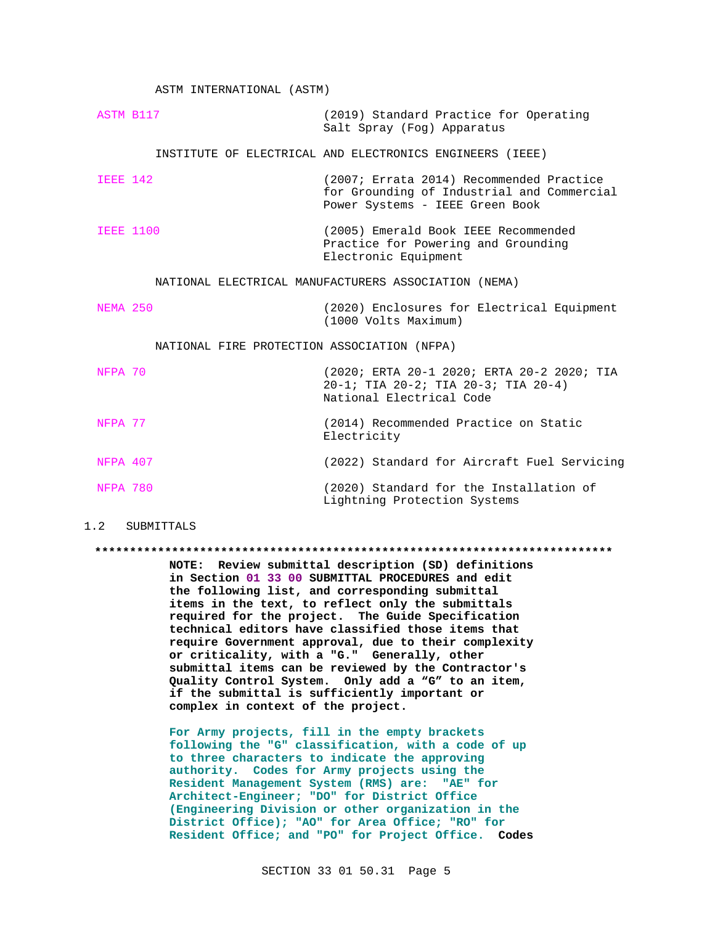ASTM INTERNATIONAL (ASTM)

| ASTM B117                                   | (2019) Standard Practice for Operating<br>Salt Spray (Fog) Apparatus                                                      |
|---------------------------------------------|---------------------------------------------------------------------------------------------------------------------------|
|                                             | INSTITUTE OF ELECTRICAL AND ELECTRONICS ENGINEERS (IEEE)                                                                  |
| <b>IEEE 142</b>                             | (2007; Errata 2014) Recommended Practice<br>for Grounding of Industrial and Commercial<br>Power Systems - IEEE Green Book |
| <b>IEEE 1100</b>                            | (2005) Emerald Book IEEE Recommended<br>Practice for Powering and Grounding<br>Electronic Equipment                       |
|                                             | NATIONAL ELECTRICAL MANUFACTURERS ASSOCIATION (NEMA)                                                                      |
| <b>NEMA 250</b>                             | (2020) Enclosures for Electrical Equipment<br>(1000 Volts Maximum)                                                        |
| NATIONAL FIRE PROTECTION ASSOCIATION (NFPA) |                                                                                                                           |
| NFPA 70                                     | (2020; ERTA 20-1 2020; ERTA 20-2 2020; TIA<br>20-1; TIA 20-2; TIA 20-3; TIA 20-4)<br>National Electrical Code             |
| NFPA 77                                     | (2014) Recommended Practice on Static<br>Electricity                                                                      |
| NFPA 407                                    | (2022) Standard for Aircraft Fuel Servicing                                                                               |
| NFPA 780                                    | (2020) Standard for the Installation of<br>Lightning Protection Systems                                                   |

# 1.2 SUBMITTALS

**\*\*\*\*\*\*\*\*\*\*\*\*\*\*\*\*\*\*\*\*\*\*\*\*\*\*\*\*\*\*\*\*\*\*\*\*\*\*\*\*\*\*\*\*\*\*\*\*\*\*\*\*\*\*\*\*\*\*\*\*\*\*\*\*\*\*\*\*\*\*\*\*\*\***

**NOTE: Review submittal description (SD) definitions in Section 01 33 00 SUBMITTAL PROCEDURES and edit the following list, and corresponding submittal items in the text, to reflect only the submittals required for the project. The Guide Specification technical editors have classified those items that require Government approval, due to their complexity or criticality, with a "G." Generally, other submittal items can be reviewed by the Contractor's Quality Control System. Only add a "G" to an item, if the submittal is sufficiently important or complex in context of the project.**

**For Army projects, fill in the empty brackets following the "G" classification, with a code of up to three characters to indicate the approving authority. Codes for Army projects using the Resident Management System (RMS) are: "AE" for Architect-Engineer; "DO" for District Office (Engineering Division or other organization in the District Office); "AO" for Area Office; "RO" for Resident Office; and "PO" for Project Office. Codes**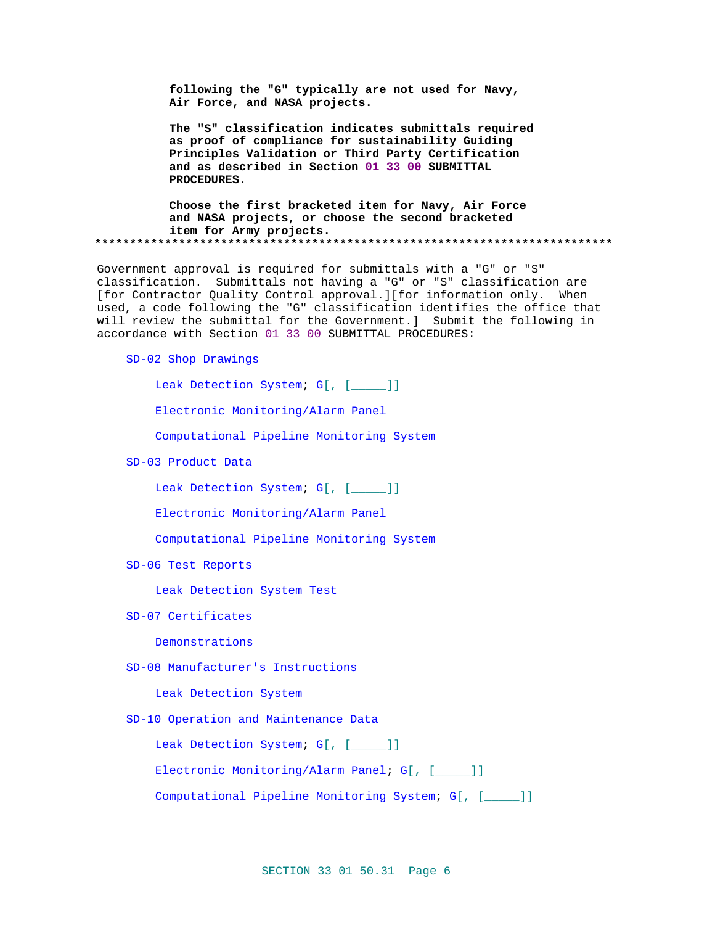**following the "G" typically are not used for Navy, Air Force, and NASA projects.**

**The "S" classification indicates submittals required as proof of compliance for sustainability Guiding Principles Validation or Third Party Certification and as described in Section 01 33 00 SUBMITTAL PROCEDURES.**

**Choose the first bracketed item for Navy, Air Force and NASA projects, or choose the second bracketed item for Army projects. \*\*\*\*\*\*\*\*\*\*\*\*\*\*\*\*\*\*\*\*\*\*\*\*\*\*\*\*\*\*\*\*\*\*\*\*\*\*\*\*\*\*\*\*\*\*\*\*\*\*\*\*\*\*\*\*\*\*\*\*\*\*\*\*\*\*\*\*\*\*\*\*\*\***

Government approval is required for submittals with a "G" or "S" classification. Submittals not having a "G" or "S" classification are [for Contractor Quality Control approval.][for information only. When used, a code following the "G" classification identifies the office that will review the submittal for the Government.] Submit the following in accordance with Section 01 33 00 SUBMITTAL PROCEDURES:

SD-02 Shop Drawings

Leak Detection System; G[, [\_\_\_\_]]

Electronic Monitoring/Alarm Panel

Computational Pipeline Monitoring System

SD-03 Product Data

Leak Detection System; G[, [\_\_\_\_]]

Electronic Monitoring/Alarm Panel

Computational Pipeline Monitoring System

SD-06 Test Reports

Leak Detection System Test

SD-07 Certificates

Demonstrations

# SD-08 Manufacturer's Instructions

Leak Detection System

SD-10 Operation and Maintenance Data

Leak Detection System; G[, [\_\_\_\_]]

Electronic Monitoring/Alarm Panel; G[, [\_\_\_\_\_]]

Computational Pipeline Monitoring System; G[, [\_\_\_\_\_]]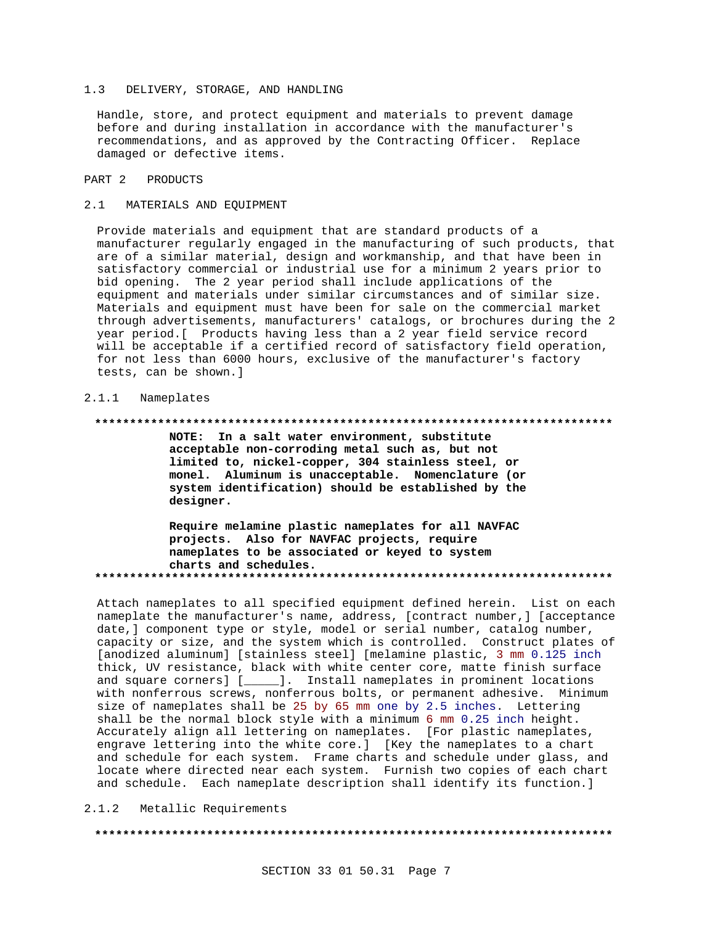#### DELIVERY, STORAGE, AND HANDLING  $1<sup>3</sup>$

Handle, store, and protect equipment and materials to prevent damage before and during installation in accordance with the manufacturer's recommendations, and as approved by the Contracting Officer. Replace damaged or defective items.

#### PART<sub>2</sub> PRODUCTS

#### $2.1$ MATERIALS AND EQUIPMENT

Provide materials and equipment that are standard products of a manufacturer regularly engaged in the manufacturing of such products, that are of a similar material, design and workmanship, and that have been in satisfactory commercial or industrial use for a minimum 2 years prior to bid opening. The 2 year period shall include applications of the equipment and materials under similar circumstances and of similar size. Materials and equipment must have been for sale on the commercial market through advertisements, manufacturers' catalogs, or brochures during the 2 year period. [ Products having less than a 2 year field service record will be acceptable if a certified record of satisfactory field operation, for not less than 6000 hours, exclusive of the manufacturer's factory tests, can be shown.]

#### $2.1.1$ Nameplates

#### 

NOTE: In a salt water environment, substitute acceptable non-corroding metal such as, but not limited to, nickel-copper, 304 stainless steel, or monel. Aluminum is unacceptable. Nomenclature (or system identification) should be established by the designer.

Require melamine plastic nameplates for all NAVFAC projects. Also for NAVFAC projects, require nameplates to be associated or keyed to system charts and schedules. 

Attach nameplates to all specified equipment defined herein. List on each nameplate the manufacturer's name, address, [contract number,] [acceptance date, ] component type or style, model or serial number, catalog number, capacity or size, and the system which is controlled. Construct plates of [anodized aluminum] [stainless steel] [melamine plastic, 3 mm 0.125 inch thick, UV resistance, black with white center core, matte finish surface and square corners] [\_\_\_\_\_]. Install nameplates in prominent locations with nonferrous screws, nonferrous bolts, or permanent adhesive. Minimum size of nameplates shall be 25 by 65 mm one by 2.5 inches. Lettering shall be the normal block style with a minimum 6 mm 0.25 inch height. Accurately align all lettering on nameplates. [For plastic nameplates, engrave lettering into the white core.] [Key the nameplates to a chart and schedule for each system. Frame charts and schedule under glass, and locate where directed near each system. Furnish two copies of each chart and schedule. Each nameplate description shall identify its function.]

 $2.1.2$ Metallic Requirements

####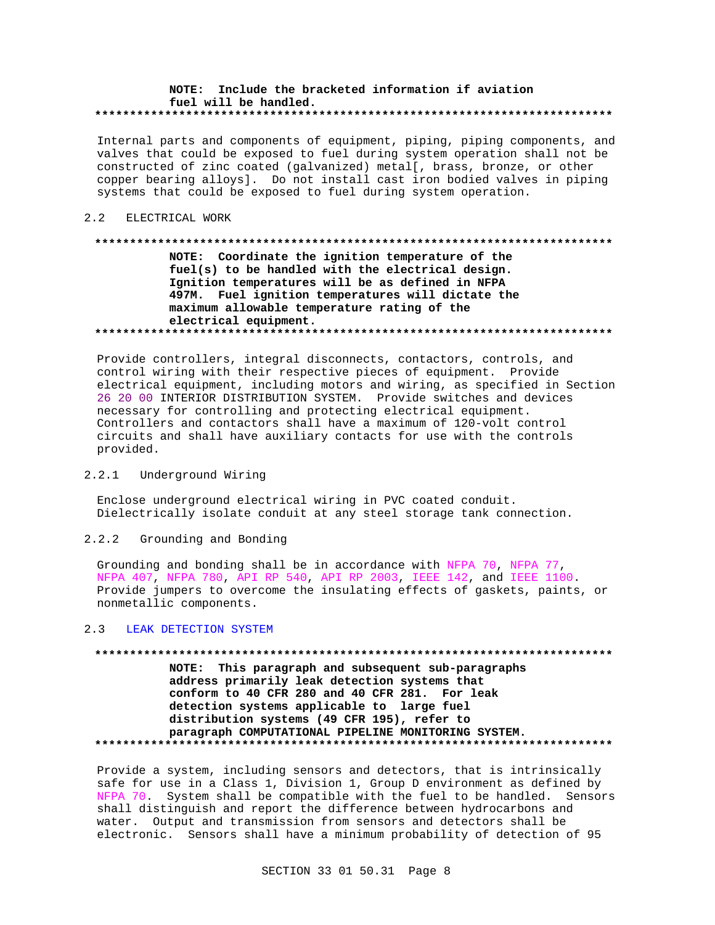#### NOTE: Include the bracketed information if aviation fuel will be handled.

Internal parts and components of equipment, piping, piping components, and valves that could be exposed to fuel during system operation shall not be constructed of zinc coated (galvanized) metal[, brass, bronze, or other copper bearing alloys]. Do not install cast iron bodied valves in piping systems that could be exposed to fuel during system operation.

#### $2.2$ ELECTRICAL WORK

# NOTE: Coordinate the ignition temperature of the fuel(s) to be handled with the electrical design. Ignition temperatures will be as defined in NFPA 497M. Fuel ignition temperatures will dictate the maximum allowable temperature rating of the electrical equipment.

Provide controllers, integral disconnects, contactors, controls, and control wiring with their respective pieces of equipment. Provide electrical equipment, including motors and wiring, as specified in Section 26 20 00 INTERIOR DISTRIBUTION SYSTEM. Provide switches and devices necessary for controlling and protecting electrical equipment. Controllers and contactors shall have a maximum of 120-volt control circuits and shall have auxiliary contacts for use with the controls provided.

#### $2.2.1$ Underground Wiring

Enclose underground electrical wiring in PVC coated conduit. Dielectrically isolate conduit at any steel storage tank connection.

 $2.2.2$ Grounding and Bonding

Grounding and bonding shall be in accordance with NFPA 70, NFPA 77, NFPA 407, NFPA 780, API RP 540, API RP 2003, IEEE 142, and IEEE 1100. Provide jumpers to overcome the insulating effects of gaskets, paints, or nonmetallic components.

#### $2.3$ LEAK DETECTION SYSTEM

NOTE: This paragraph and subsequent sub-paragraphs address primarily leak detection systems that conform to 40 CFR 280 and 40 CFR 281. For leak detection systems applicable to large fuel distribution systems (49 CFR 195), refer to paragraph COMPUTATIONAL PIPELINE MONITORING SYSTEM. 

Provide a system, including sensors and detectors, that is intrinsically safe for use in a Class 1, Division 1, Group D environment as defined by NFPA 70. System shall be compatible with the fuel to be handled. Sensors shall distinguish and report the difference between hydrocarbons and water. Output and transmission from sensors and detectors shall be electronic. Sensors shall have a minimum probability of detection of 95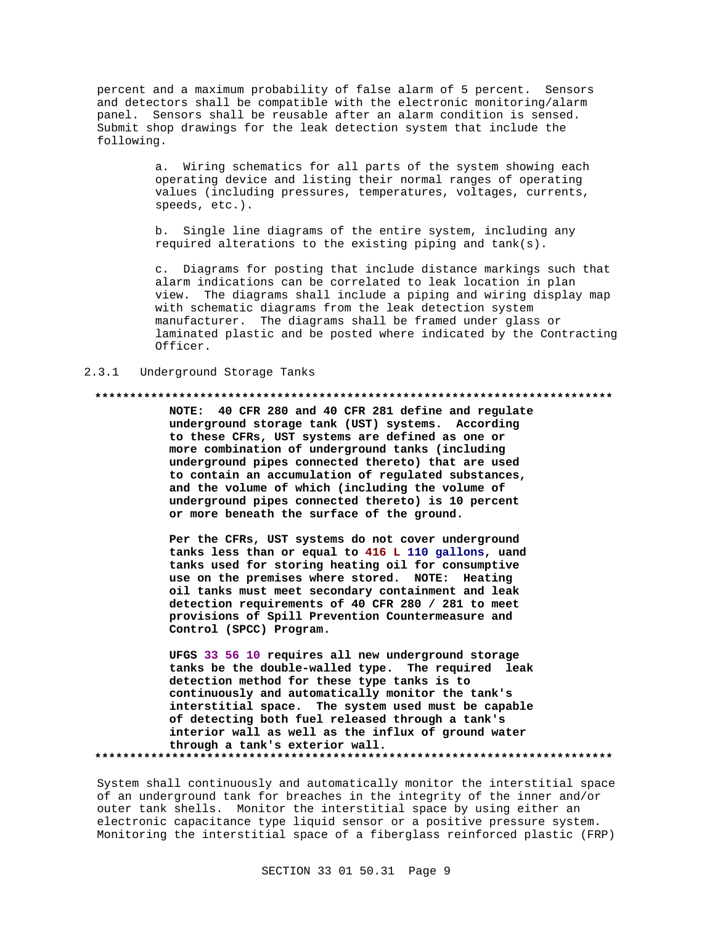percent and a maximum probability of false alarm of 5 percent. Sensors and detectors shall be compatible with the electronic monitoring/alarm panel. Sensors shall be reusable after an alarm condition is sensed. Submit shop drawings for the leak detection system that include the following.

> a. Wiring schematics for all parts of the system showing each operating device and listing their normal ranges of operating values (including pressures, temperatures, voltages, currents, speeds, etc.).

b. Single line diagrams of the entire system, including any required alterations to the existing piping and tank(s).

c. Diagrams for posting that include distance markings such that alarm indications can be correlated to leak location in plan view. The diagrams shall include a piping and wiring display map with schematic diagrams from the leak detection system manufacturer. The diagrams shall be framed under glass or laminated plastic and be posted where indicated by the Contracting Officer.

### 2.3.1 Underground Storage Tanks

### **\*\*\*\*\*\*\*\*\*\*\*\*\*\*\*\*\*\*\*\*\*\*\*\*\*\*\*\*\*\*\*\*\*\*\*\*\*\*\*\*\*\*\*\*\*\*\*\*\*\*\*\*\*\*\*\*\*\*\*\*\*\*\*\*\*\*\*\*\*\*\*\*\*\***

**NOTE: 40 CFR 280 and 40 CFR 281 define and regulate underground storage tank (UST) systems. According to these CFRs, UST systems are defined as one or more combination of underground tanks (including underground pipes connected thereto) that are used to contain an accumulation of regulated substances, and the volume of which (including the volume of underground pipes connected thereto) is 10 percent or more beneath the surface of the ground.**

**Per the CFRs, UST systems do not cover underground tanks less than or equal to 416 L 110 gallons, uand tanks used for storing heating oil for consumptive use on the premises where stored. NOTE: Heating oil tanks must meet secondary containment and leak detection requirements of 40 CFR 280 / 281 to meet provisions of Spill Prevention Countermeasure and Control (SPCC) Program.**

**UFGS 33 56 10 requires all new underground storage tanks be the double-walled type. The required leak detection method for these type tanks is to continuously and automatically monitor the tank's interstitial space. The system used must be capable of detecting both fuel released through a tank's interior wall as well as the influx of ground water through a tank's exterior wall. \*\*\*\*\*\*\*\*\*\*\*\*\*\*\*\*\*\*\*\*\*\*\*\*\*\*\*\*\*\*\*\*\*\*\*\*\*\*\*\*\*\*\*\*\*\*\*\*\*\*\*\*\*\*\*\*\*\*\*\*\*\*\*\*\*\*\*\*\*\*\*\*\*\***

System shall continuously and automatically monitor the interstitial space of an underground tank for breaches in the integrity of the inner and/or outer tank shells. Monitor the interstitial space by using either an electronic capacitance type liquid sensor or a positive pressure system. Monitoring the interstitial space of a fiberglass reinforced plastic (FRP)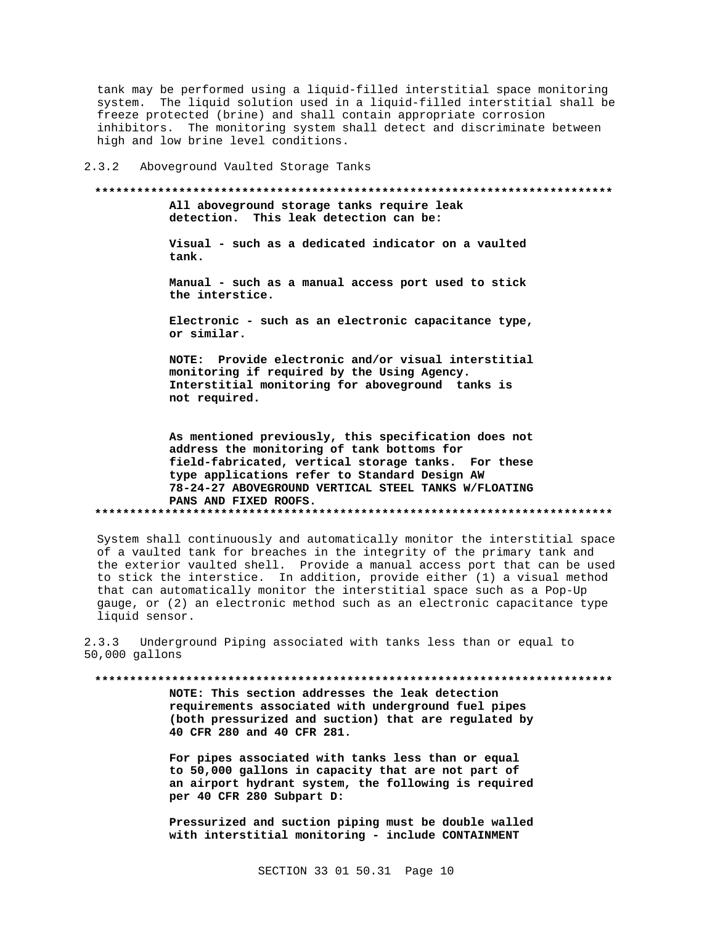tank may be performed using a liquid-filled interstitial space monitoring system. The liquid solution used in a liquid-filled interstitial shall be freeze protected (brine) and shall contain appropriate corrosion inhibitors. The monitoring system shall detect and discriminate between high and low brine level conditions.

## 2.3.2 Aboveground Vaulted Storage Tanks

#### **\*\*\*\*\*\*\*\*\*\*\*\*\*\*\*\*\*\*\*\*\*\*\*\*\*\*\*\*\*\*\*\*\*\*\*\*\*\*\*\*\*\*\*\*\*\*\*\*\*\*\*\*\*\*\*\*\*\*\*\*\*\*\*\*\*\*\*\*\*\*\*\*\*\***

**All aboveground storage tanks require leak detection. This leak detection can be:**

**Visual - such as a dedicated indicator on a vaulted tank.**

**Manual - such as a manual access port used to stick the interstice.**

**Electronic - such as an electronic capacitance type, or similar.**

**NOTE: Provide electronic and/or visual interstitial monitoring if required by the Using Agency. Interstitial monitoring for aboveground tanks is not required.**

**As mentioned previously, this specification does not address the monitoring of tank bottoms for field-fabricated, vertical storage tanks. For these type applications refer to Standard Design AW 78-24-27 ABOVEGROUND VERTICAL STEEL TANKS W/FLOATING PANS AND FIXED ROOFS. \*\*\*\*\*\*\*\*\*\*\*\*\*\*\*\*\*\*\*\*\*\*\*\*\*\*\*\*\*\*\*\*\*\*\*\*\*\*\*\*\*\*\*\*\*\*\*\*\*\*\*\*\*\*\*\*\*\*\*\*\*\*\*\*\*\*\*\*\*\*\*\*\*\***

System shall continuously and automatically monitor the interstitial space of a vaulted tank for breaches in the integrity of the primary tank and the exterior vaulted shell. Provide a manual access port that can be used to stick the interstice. In addition, provide either (1) a visual method that can automatically monitor the interstitial space such as a Pop-Up gauge, or (2) an electronic method such as an electronic capacitance type liquid sensor.

2.3.3 Underground Piping associated with tanks less than or equal to 50,000 gallons

**\*\*\*\*\*\*\*\*\*\*\*\*\*\*\*\*\*\*\*\*\*\*\*\*\*\*\*\*\*\*\*\*\*\*\*\*\*\*\*\*\*\*\*\*\*\*\*\*\*\*\*\*\*\*\*\*\*\*\*\*\*\*\*\*\*\*\*\*\*\*\*\*\*\***

**NOTE: This section addresses the leak detection requirements associated with underground fuel pipes (both pressurized and suction) that are regulated by 40 CFR 280 and 40 CFR 281.**

**For pipes associated with tanks less than or equal to 50,000 gallons in capacity that are not part of an airport hydrant system, the following is required per 40 CFR 280 Subpart D:**

**Pressurized and suction piping must be double walled with interstitial monitoring - include CONTAINMENT**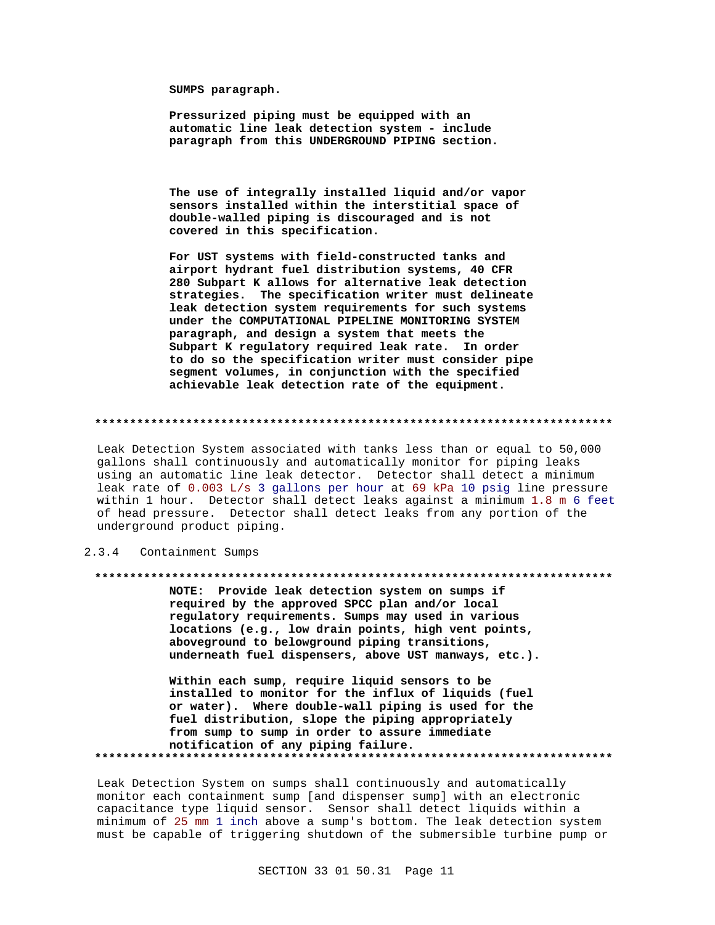SUMPS paragraph.

Pressurized piping must be equipped with an automatic line leak detection system - include paragraph from this UNDERGROUND PIPING section.

The use of integrally installed liquid and/or vapor sensors installed within the interstitial space of double-walled piping is discouraged and is not covered in this specification.

For UST systems with field-constructed tanks and airport hydrant fuel distribution systems, 40 CFR 280 Subpart K allows for alternative leak detection strategies. The specification writer must delineate leak detection system requirements for such systems under the COMPUTATIONAL PIPELINE MONITORING SYSTEM paragraph, and design a system that meets the Subpart K regulatory required leak rate. In order to do so the specification writer must consider pipe segment volumes, in conjunction with the specified achievable leak detection rate of the equipment.

Leak Detection System associated with tanks less than or equal to 50,000 gallons shall continuously and automatically monitor for piping leaks using an automatic line leak detector. Detector shall detect a minimum leak rate of 0.003 L/s 3 gallons per hour at 69 kPa 10 psig line pressure within 1 hour. Detector shall detect leaks against a minimum 1.8 m 6 feet of head pressure. Detector shall detect leaks from any portion of the underground product piping.

 $2.3.4$ Containment Sumps

#### 

NOTE: Provide leak detection system on sumps if required by the approved SPCC plan and/or local regulatory requirements. Sumps may used in various locations (e.g., low drain points, high vent points, aboveground to belowground piping transitions, underneath fuel dispensers, above UST manways, etc.).

Within each sump, require liquid sensors to be installed to monitor for the influx of liquids (fuel or water). Where double-wall piping is used for the fuel distribution, slope the piping appropriately from sump to sump in order to assure immediate notification of any piping failure. 

Leak Detection System on sumps shall continuously and automatically monitor each containment sump [and dispenser sump] with an electronic capacitance type liquid sensor. Sensor shall detect liquids within a minimum of 25 mm 1 inch above a sump's bottom. The leak detection system must be capable of triggering shutdown of the submersible turbine pump or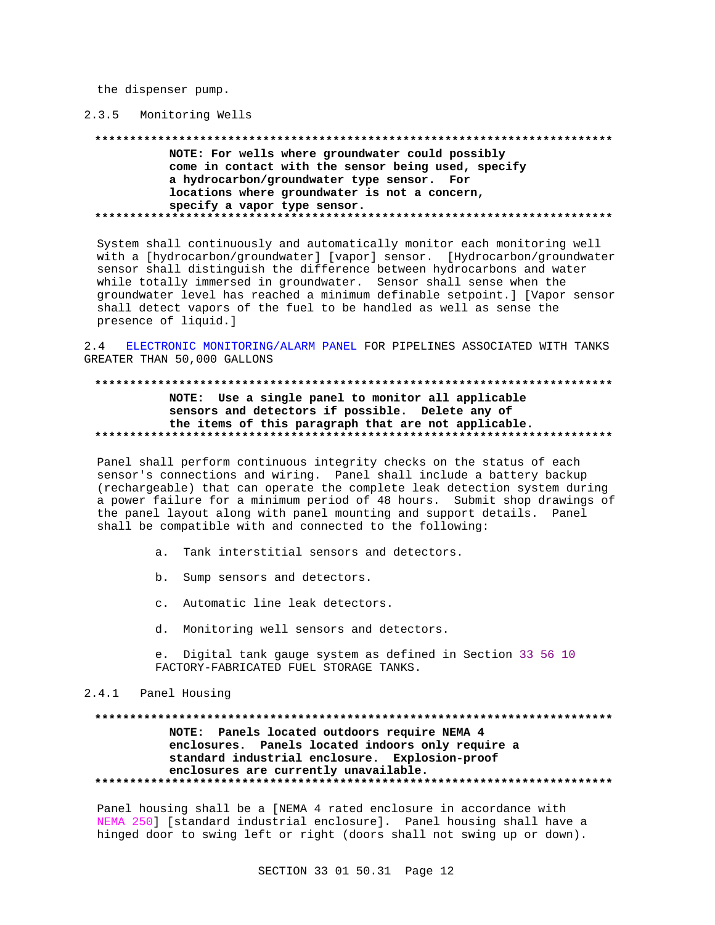the dispenser pump.

## 2.3.5 Monitoring Wells

#### 

NOTE: For wells where groundwater could possibly come in contact with the sensor being used, specify a hydrocarbon/groundwater type sensor. For locations where groundwater is not a concern, specify a vapor type sensor. 

System shall continuously and automatically monitor each monitoring well with a [hydrocarbon/groundwater] [vapor] sensor. [Hydrocarbon/groundwater sensor shall distinguish the difference between hydrocarbons and water while totally immersed in groundwater. Sensor shall sense when the groundwater level has reached a minimum definable setpoint.] [Vapor sensor shall detect vapors of the fuel to be handled as well as sense the presence of liquid.]

ELECTRONIC MONITORING/ALARM PANEL FOR PIPELINES ASSOCIATED WITH TANKS  $2.4$ GREATER THAN 50,000 GALLONS

# NOTE: Use a single panel to monitor all applicable sensors and detectors if possible. Delete any of the items of this paragraph that are not applicable.

Panel shall perform continuous integrity checks on the status of each sensor's connections and wiring. Panel shall include a battery backup (rechargeable) that can operate the complete leak detection system during a power failure for a minimum period of 48 hours. Submit shop drawings of the panel layout along with panel mounting and support details. Panel shall be compatible with and connected to the following:

- a. Tank interstitial sensors and detectors.
- b. Sump sensors and detectors.
- c. Automatic line leak detectors.
- d. Monitoring well sensors and detectors.

e. Digital tank gauge system as defined in Section 33 56 10 FACTORY-FABRICATED FUEL STORAGE TANKS.

## 2.4.1 Panel Housing

# NOTE: Panels located outdoors require NEMA 4 enclosures. Panels located indoors only require a standard industrial enclosure. Explosion-proof enclosures are currently unavailable.

Panel housing shall be a [NEMA 4 rated enclosure in accordance with NEMA 250] [standard industrial enclosure]. Panel housing shall have a hinged door to swing left or right (doors shall not swing up or down).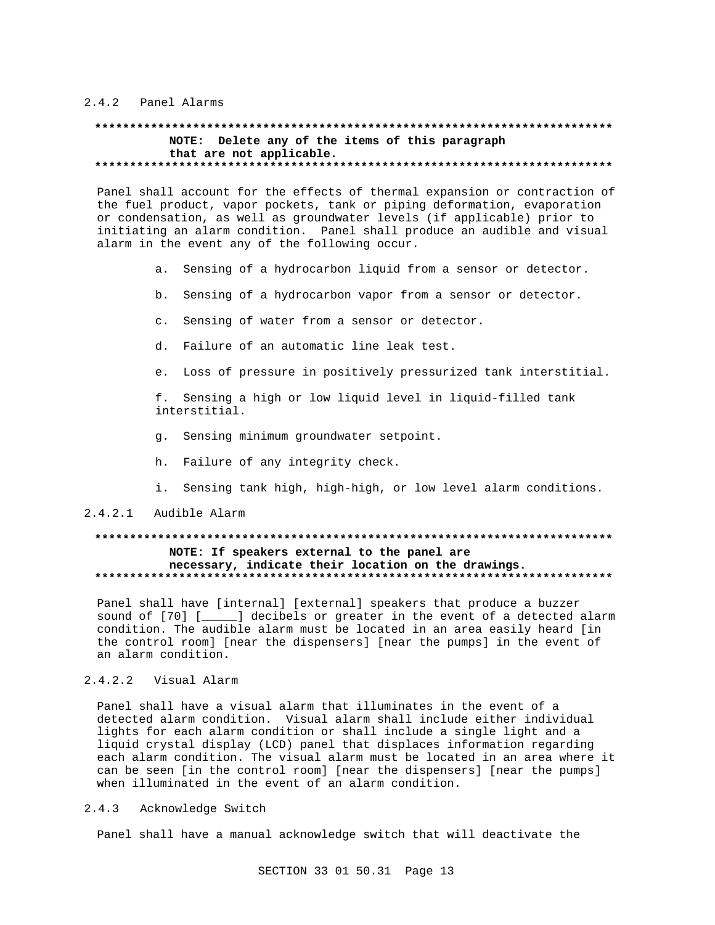### 2.4.2 Panel Alarms

# NOTE: Delete any of the items of this paragraph that are not applicable.

Panel shall account for the effects of thermal expansion or contraction of the fuel product, vapor pockets, tank or piping deformation, evaporation or condensation, as well as groundwater levels (if applicable) prior to initiating an alarm condition. Panel shall produce an audible and visual alarm in the event any of the following occur.

- a. Sensing of a hydrocarbon liquid from a sensor or detector.
- b. Sensing of a hydrocarbon vapor from a sensor or detector.
- c. Sensing of water from a sensor or detector.
- d. Failure of an automatic line leak test.
- e. Loss of pressure in positively pressurized tank interstitial.

f. Sensing a high or low liquid level in liquid-filled tank interstitial.

- g. Sensing minimum groundwater setpoint.
- h. Failure of any integrity check.
- i. Sensing tank high, high-high, or low level alarm conditions.
- $2.4.2.1$ Audible Alarm

#### 

# NOTE: If speakers external to the panel are necessary, indicate their location on the drawings.

Panel shall have [internal] [external] speakers that produce a buzzer sound of [70] [\_\_\_\_\_] decibels or greater in the event of a detected alarm condition. The audible alarm must be located in an area easily heard [in the control room] [near the dispensers] [near the pumps] in the event of an alarm condition.

#### $2.4.2.2$ Visual Alarm

Panel shall have a visual alarm that illuminates in the event of a detected alarm condition. Visual alarm shall include either individual lights for each alarm condition or shall include a single light and a liquid crystal display (LCD) panel that displaces information regarding each alarm condition. The visual alarm must be located in an area where it can be seen [in the control room] [near the dispensers] [near the pumps] when illuminated in the event of an alarm condition.

#### $2.4.3$ Acknowledge Switch

Panel shall have a manual acknowledge switch that will deactivate the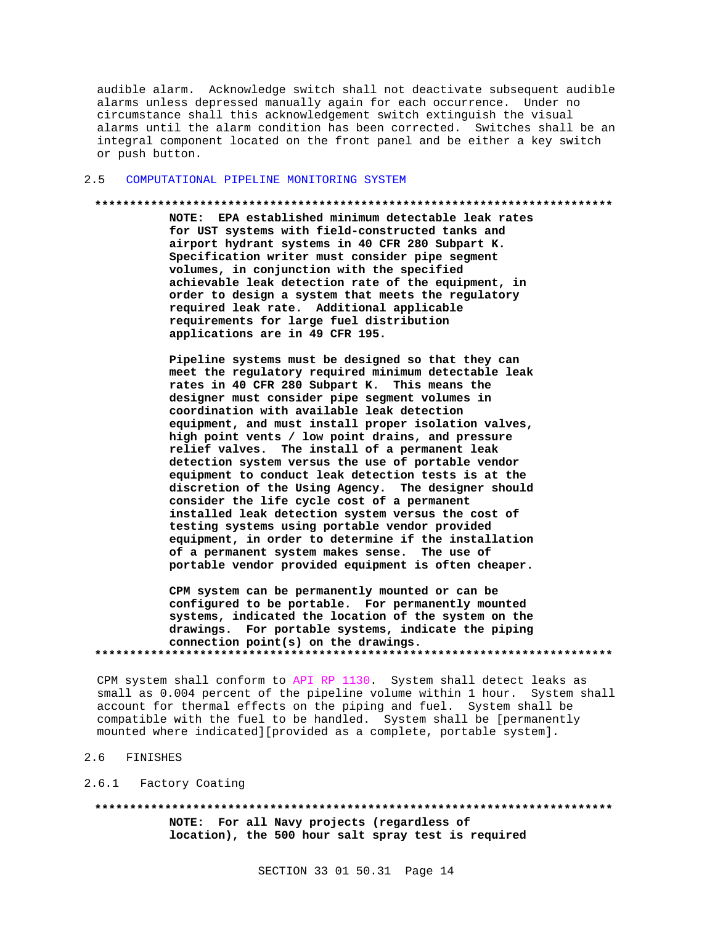audible alarm. Acknowledge switch shall not deactivate subsequent audible alarms unless depressed manually again for each occurrence. Under no circumstance shall this acknowledgement switch extinguish the visual alarms until the alarm condition has been corrected. Switches shall be an integral component located on the front panel and be either a key switch or push button.

### 2.5 COMPUTATIONAL PIPELINE MONITORING SYSTEM

#### **\*\*\*\*\*\*\*\*\*\*\*\*\*\*\*\*\*\*\*\*\*\*\*\*\*\*\*\*\*\*\*\*\*\*\*\*\*\*\*\*\*\*\*\*\*\*\*\*\*\*\*\*\*\*\*\*\*\*\*\*\*\*\*\*\*\*\*\*\*\*\*\*\*\***

**NOTE: EPA established minimum detectable leak rates for UST systems with field-constructed tanks and airport hydrant systems in 40 CFR 280 Subpart K. Specification writer must consider pipe segment volumes, in conjunction with the specified achievable leak detection rate of the equipment, in order to design a system that meets the regulatory required leak rate. Additional applicable requirements for large fuel distribution applications are in 49 CFR 195.**

**Pipeline systems must be designed so that they can meet the regulatory required minimum detectable leak rates in 40 CFR 280 Subpart K. This means the designer must consider pipe segment volumes in coordination with available leak detection equipment, and must install proper isolation valves, high point vents / low point drains, and pressure relief valves. The install of a permanent leak detection system versus the use of portable vendor equipment to conduct leak detection tests is at the discretion of the Using Agency. The designer should consider the life cycle cost of a permanent installed leak detection system versus the cost of testing systems using portable vendor provided equipment, in order to determine if the installation of a permanent system makes sense. The use of portable vendor provided equipment is often cheaper.**

**CPM system can be permanently mounted or can be configured to be portable. For permanently mounted systems, indicated the location of the system on the drawings. For portable systems, indicate the piping connection point(s) on the drawings. \*\*\*\*\*\*\*\*\*\*\*\*\*\*\*\*\*\*\*\*\*\*\*\*\*\*\*\*\*\*\*\*\*\*\*\*\*\*\*\*\*\*\*\*\*\*\*\*\*\*\*\*\*\*\*\*\*\*\*\*\*\*\*\*\*\*\*\*\*\*\*\*\*\***

CPM system shall conform to API RP 1130. System shall detect leaks as small as 0.004 percent of the pipeline volume within 1 hour. System shall account for thermal effects on the piping and fuel. System shall be compatible with the fuel to be handled. System shall be [permanently mounted where indicated][provided as a complete, portable system].

- 2.6 FINISHES
- 2.6.1 Factory Coating

**\*\*\*\*\*\*\*\*\*\*\*\*\*\*\*\*\*\*\*\*\*\*\*\*\*\*\*\*\*\*\*\*\*\*\*\*\*\*\*\*\*\*\*\*\*\*\*\*\*\*\*\*\*\*\*\*\*\*\*\*\*\*\*\*\*\*\*\*\*\*\*\*\*\* NOTE: For all Navy projects (regardless of location), the 500 hour salt spray test is required**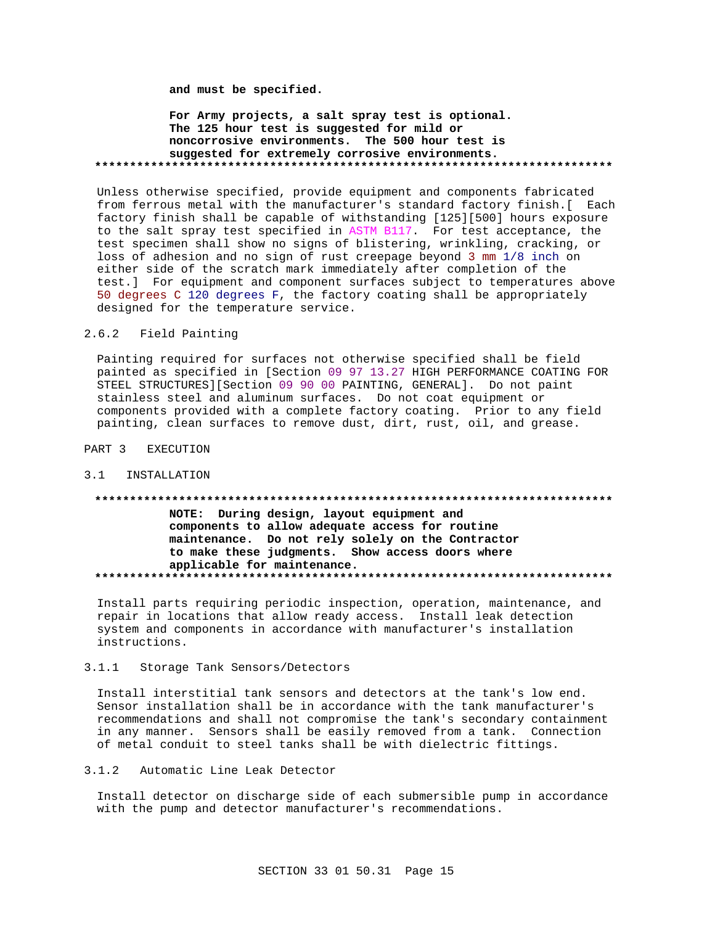**and must be specified.**

**For Army projects, a salt spray test is optional. The 125 hour test is suggested for mild or noncorrosive environments. The 500 hour test is suggested for extremely corrosive environments. \*\*\*\*\*\*\*\*\*\*\*\*\*\*\*\*\*\*\*\*\*\*\*\*\*\*\*\*\*\*\*\*\*\*\*\*\*\*\*\*\*\*\*\*\*\*\*\*\*\*\*\*\*\*\*\*\*\*\*\*\*\*\*\*\*\*\*\*\*\*\*\*\*\***

Unless otherwise specified, provide equipment and components fabricated from ferrous metal with the manufacturer's standard factory finish.[ Each factory finish shall be capable of withstanding [125][500] hours exposure to the salt spray test specified in ASTM B117. For test acceptance, the test specimen shall show no signs of blistering, wrinkling, cracking, or loss of adhesion and no sign of rust creepage beyond 3 mm 1/8 inch on either side of the scratch mark immediately after completion of the test.] For equipment and component surfaces subject to temperatures above 50 degrees C 120 degrees F, the factory coating shall be appropriately designed for the temperature service.

# 2.6.2 Field Painting

Painting required for surfaces not otherwise specified shall be field painted as specified in [Section 09 97 13.27 HIGH PERFORMANCE COATING FOR STEEL STRUCTURES][Section 09 90 00 PAINTING, GENERAL]. Do not paint stainless steel and aluminum surfaces. Do not coat equipment or components provided with a complete factory coating. Prior to any field painting, clean surfaces to remove dust, dirt, rust, oil, and grease.

PART 3 EXECUTION

### 3.1 INSTALLATION

### **\*\*\*\*\*\*\*\*\*\*\*\*\*\*\*\*\*\*\*\*\*\*\*\*\*\*\*\*\*\*\*\*\*\*\*\*\*\*\*\*\*\*\*\*\*\*\*\*\*\*\*\*\*\*\*\*\*\*\*\*\*\*\*\*\*\*\*\*\*\*\*\*\*\***

# **NOTE: During design, layout equipment and components to allow adequate access for routine maintenance. Do not rely solely on the Contractor to make these judgments. Show access doors where applicable for maintenance. \*\*\*\*\*\*\*\*\*\*\*\*\*\*\*\*\*\*\*\*\*\*\*\*\*\*\*\*\*\*\*\*\*\*\*\*\*\*\*\*\*\*\*\*\*\*\*\*\*\*\*\*\*\*\*\*\*\*\*\*\*\*\*\*\*\*\*\*\*\*\*\*\*\***

Install parts requiring periodic inspection, operation, maintenance, and repair in locations that allow ready access. Install leak detection system and components in accordance with manufacturer's installation instructions.

# 3.1.1 Storage Tank Sensors/Detectors

Install interstitial tank sensors and detectors at the tank's low end. Sensor installation shall be in accordance with the tank manufacturer's recommendations and shall not compromise the tank's secondary containment in any manner. Sensors shall be easily removed from a tank. Connection of metal conduit to steel tanks shall be with dielectric fittings.

# 3.1.2 Automatic Line Leak Detector

Install detector on discharge side of each submersible pump in accordance with the pump and detector manufacturer's recommendations.